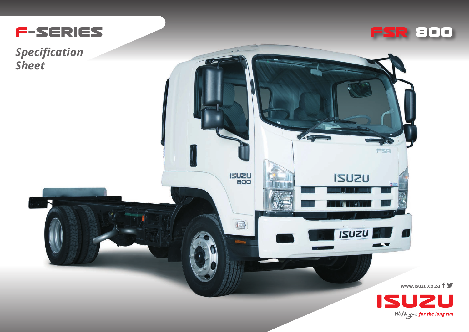

*Specification Sheet*



FSR

41

 $\overline{\phantom{0}}$ 

**ISUZU** 

**ISUZU** 

 $\mathbb{C}$ 

**ISUZU** 

 $\blacksquare$ 

÷

**www.isuzu.co.za**



A